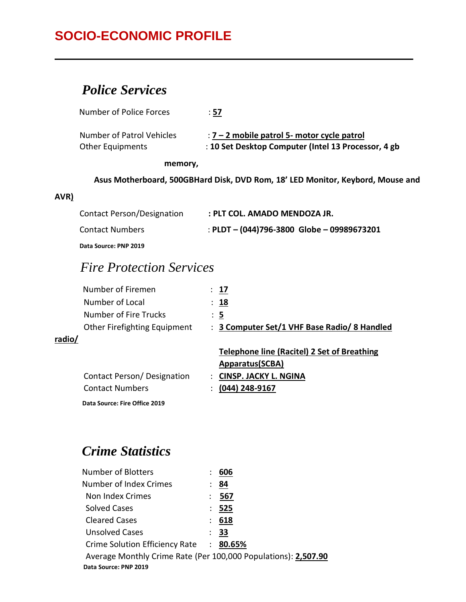# **SOCIO-ECONOMIC PROFILE**

## *Police Services*

| Number of Police Forces   | : 57                                                 |
|---------------------------|------------------------------------------------------|
| Number of Patrol Vehicles | $: 7 - 2$ mobile patrol 5- motor cycle patrol        |
| <b>Other Equipments</b>   | : 10 Set Desktop Computer (Intel 13 Processor, 4 gb) |

#### **memory,**

 **Asus Motherboard, 500GBHard Disk, DVD Rom, 18' LED Monitor, Keybord, Mouse and** 

#### **AVR)**

| <b>Contact Person/Designation</b> | : PLT COL. AMADO MENDOZA JR.                   |
|-----------------------------------|------------------------------------------------|
| <b>Contact Numbers</b>            | : PLDT $-$ (044)796-3800 Globe $-$ 09989673201 |
| Data Source: PNP 2019             |                                                |

### *Fire Protection Services*

|        | Number of Firemen             | $\therefore$ 17                                    |
|--------|-------------------------------|----------------------------------------------------|
|        | Number of Local               | <u>: 18</u>                                        |
|        | Number of Fire Trucks         | $\frac{1}{2}$                                      |
|        | Other Firefighting Equipment  | : 3 Computer Set/1 VHF Base Radio/ 8 Handled       |
| radio/ |                               |                                                    |
|        |                               | <b>Telephone line (Racitel) 2 Set of Breathing</b> |
|        |                               | Apparatus(SCBA)                                    |
|        | Contact Person/Designation    | : CINSP. JACKY L. NGINA                            |
|        | <b>Contact Numbers</b>        | (044) 248-9167                                     |
|        | Data Source: Fire Office 2019 |                                                    |

### *Crime Statistics*

| <b>Number of Blotters</b>                                      | 606             |  |  |  |  |
|----------------------------------------------------------------|-----------------|--|--|--|--|
| Number of Index Crimes                                         | <u>84</u>       |  |  |  |  |
| Non Index Crimes                                               | 567             |  |  |  |  |
| <b>Solved Cases</b>                                            | 525             |  |  |  |  |
| <b>Cleared Cases</b>                                           | $\frac{618}{ }$ |  |  |  |  |
| <b>Unsolved Cases</b>                                          | : 33            |  |  |  |  |
| Crime Solution Efficiency Rate                                 | : 80.65%        |  |  |  |  |
| Average Monthly Crime Rate (Per 100,000 Populations): 2,507.90 |                 |  |  |  |  |
| Data Source: PNP 2019                                          |                 |  |  |  |  |